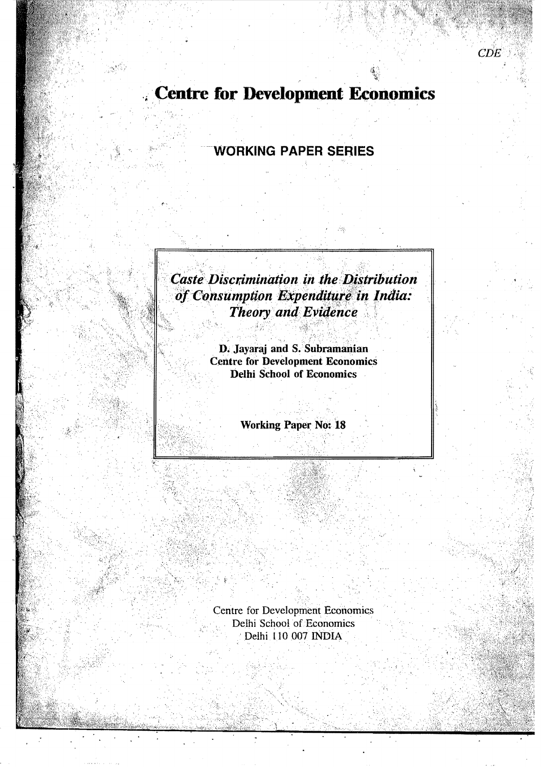**Centre for Development Economics** 

 $CDE$ 

# **WORKING PAPER SERIES**

**Caste Discrimination in the Distribution** of Consumption Expenditure in India: Theory and Evidence

> D. Jayaraj and S. Subramanian<br>Centre for Development Economics **Delhi School of Economics**

> > **Working Paper No: 18**

**Centre for Development Economics** Delhi School of Economics Delhi 110 007 INDIA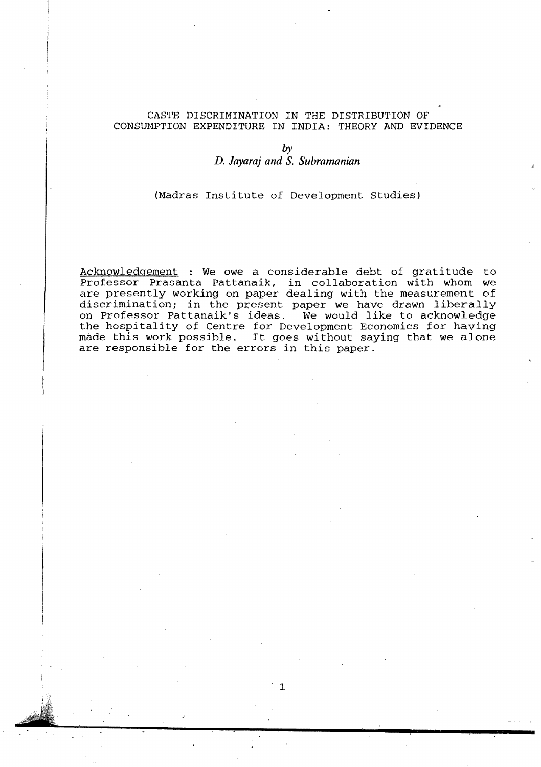#### CASTE DISCRIMINATION IN THE DISTRIBUTION OF CONSUMPTION EXPENDITURE IN INDIA: THEORY AND EVIDENCE

## by *D. Jayaraj and* **S.** *Subramanian*

(Madras Institute of Development Studies)

Acknowledgement : We owe a considerable debt of gratitude to Professor Prasanta Pattanaik, in collaboration with whom we are presently working on paper dealing with the measurement of discrimination; in the present paper we have drawn liberally on Professor Pattanaik's ideas. We would like to acknowledge the hospitality of Centre for Development Economics for having made this work possible. It goes without saying that we alone are responsible for the errors in this paper.

1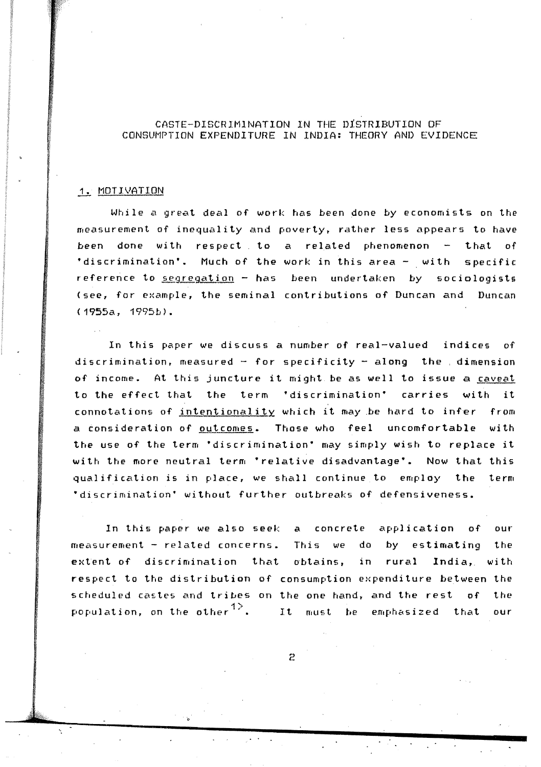## CASTE-DISCRIMINATION IN THE DIsTRIBUTION OF CONSUMPTION EXPENDITURE IN INDIA; THEORY AND EVIDENCE

### 1. MOTIVATION

While a great deal of work has been done by economists on the measurement of inequality and poverty, rather less appears to have been done with respect to a related phenomenon  $-$  that of 'discrimination'. Much of the work in this area - with specific reference to segregation - has been undertaken by sociologists (see, for example, the seminal contributions of Duncan and Duncan  $(1955a, 1995b)$ .

In this paper We discuss a number of real-valued indices of discrimination, measured - for specificity - along the dimension of income. At this juncture it might be as well to issue a caveat to the effect that the term 'discrimination' carries with it connotations of intentionality which it may be hard to infer from a consideration of outcomes. Those who feel uncomfortable with the use of the term 'discrimination' may simply wish to replace it with the more neutral term 'relative disadvantage'. Now that this qualification is in place, we shall continue to employ the term 'discrimination' without further outbreaks of defensiveness.

In this paper we also seek a concrete application of our measurement - related concerns. This we do by estimating the extent of discrimination that obtains, in rural India, with respect to the distrihution of consumption expenditure between the scheduled castes and tribes on the one hand, and the rest of the population, on the other  $1$ <sup>2</sup>. It must be emphasized that our

2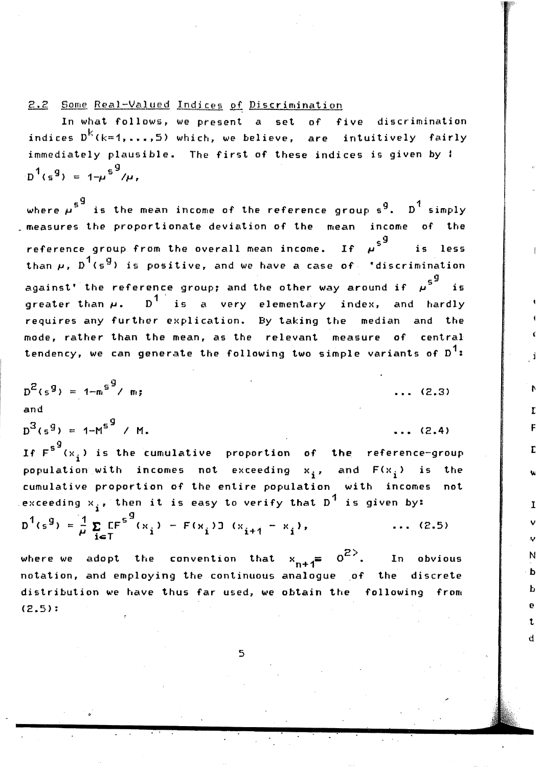2.2 Some Real-Valued Indices of Discrimination

In what follows, we present a set of five discrimination indices  $D^{k}(k=1,\ldots,5)$  which, we believe, are intuitively fairly immediately plausible. The first of these indices is given by !  $D^1(s^9) = 1 - \mu^{5^9}/\mu$ .

where  $\mu$ <sup>5</sub>9</sup> is the mean income of the reference group s<sup>9</sup>. D<sup>1</sup> simply measures the proportionate deviation of the mean income of the reference group from the overall mean income. If  $\mu^{\mathsf{s}}^{\mathsf{g}}$ is less than  $\mu$ ,  $D^1(s^9)$  is positive, and we have a case of 'discrimination against' the reference group; and the other way around if  $\mu^{\mathsf{s}^{\mathsf{g}}}$ greater than  $\mu$ .  $D^1$  is a very elementary index, and hardly requires any further explication. By taking the median and the mode, rather than the mean, as the relevant measure of central tendency, we can generate the following two simple variants of  $D^1$ :

$$
D^{2}(s^{g}) = 1 - m^{g^{g}} / m;
$$

 $D^{3}(5^{9}) = 1-M^{5^{9}}$  / M.

 $\ldots$  (2.4)

 $\mathbf{r}$ 

F

 $\overline{L}$ 

 $\mathbf I$ 

N ь

 $\mathbf{a}$ 

t  $\mathbf{H}$ 

 $\ldots$  (2.3)

If  $F^{S^{\mathbf{G}}}(x_i)$  is the cumulative proportion of the reference-group population with incomes not exceeding  $x_i$ , and  $F(x_i)$  is the cumulative proportion of the entire population with incomes not .exceeding  $x_i$ , then it is easy to verify that  $p^4$  is given by:

$$
D^{1}(s^{g}) = \frac{1}{\mu} \sum_{i \in T} CF^{s^{g}}(x_{i}) - F(x_{i}) J(x_{i+1} - x_{i}), \qquad (2.5)
$$

where we adopt the convention that  $x_{n+1} = 0^{2}$ . In obvious notation, and employing the continuous analogue of the discrete distribution we have thus far used, we obtain the following from  $(2.5)$ :

5